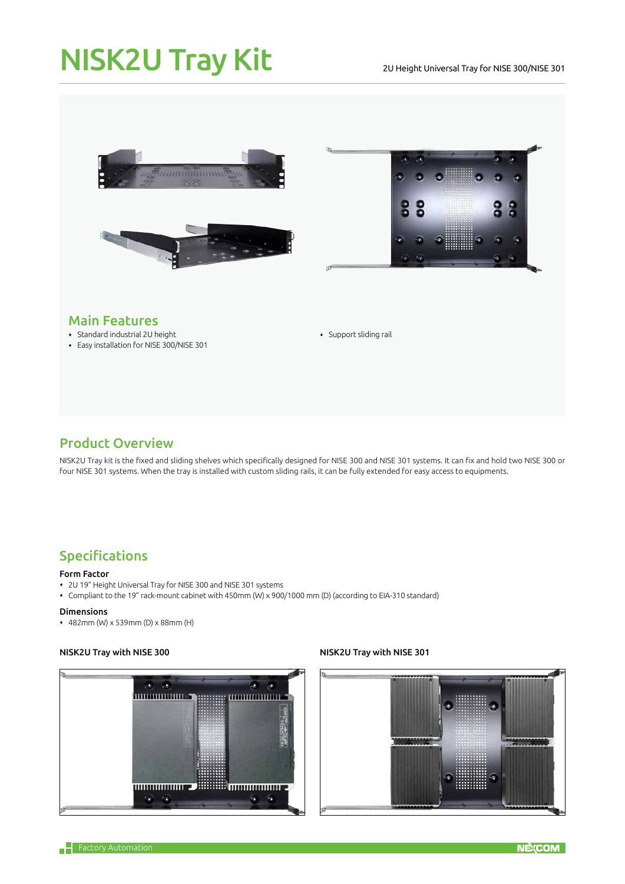# NISK2U Tray Kit

#### 2U Height Universal Tray for NISE 300/NISE 301





# Main Features

- Standard industrial 2U height
- Easy installation for NISE 300/NISE 301

Support sliding rail

## Product Overview

NISK2U Tray kit is the fixed and sliding shelves which specifically designed for NISE 300 and NISE 301 systems. It can fix and hold two NISE 300 or four NISE 301 systems. When the tray is installed with custom sliding rails, it can be fully extended for easy access to equipments.

# Specifications

#### Form Factor

- 2U 19" Height Universal Tray for NISE 300 and NISE 301 systems
- Compliant to the 19" rack-mount cabinet with 450mm (W) x 900/1000 mm (D) (according to EIA-310 standard)

#### Dimensions

482mm (W) x 539mm (D) x 88mm (H)

#### NISK2U Tray with NISE 300 NISK2U Tray with NISE 301